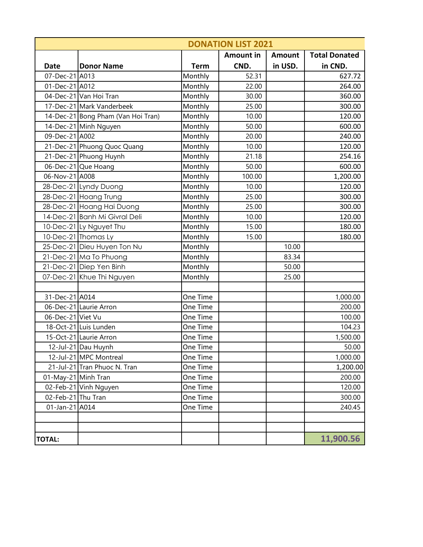|                     | <b>DONATION LIST 2021</b>          |             |                  |               |                      |
|---------------------|------------------------------------|-------------|------------------|---------------|----------------------|
|                     |                                    |             | <b>Amount in</b> | <b>Amount</b> | <b>Total Donated</b> |
| <b>Date</b>         | <b>Donor Name</b>                  | <b>Term</b> | CND.             | in USD.       | in CND.              |
| 07-Dec-21 A013      |                                    | Monthly     | 52.31            |               | 627.72               |
| 01-Dec-21 A012      |                                    | Monthly     | 22.00            |               | 264.00               |
|                     | 04-Dec-21 Van Hoi Tran             | Monthly     | 30.00            |               | 360.00               |
|                     | 17-Dec-21 Mark Vanderbeek          | Monthly     | 25.00            |               | 300.00               |
|                     | 14-Dec-21 Bong Pham (Van Hoi Tran) | Monthly     | 10.00            |               | 120.00               |
|                     | 14-Dec-21 Minh Nguyen              | Monthly     | 50.00            |               | 600.00               |
| 09-Dec-21 A002      |                                    | Monthly     | 20.00            |               | 240.00               |
|                     | 21-Dec-21 Phuong Quoc Quang        | Monthly     | 10.00            |               | 120.00               |
|                     | 21-Dec-21 Phuong Huynh             | Monthly     | 21.18            |               | 254.16               |
|                     | 06-Dec-21 Que Hoang                | Monthly     | 50.00            |               | 600.00               |
| 06-Nov-21 A008      |                                    | Monthly     | 100.00           |               | 1,200.00             |
|                     | 28-Dec-21 Lyndy Duong              | Monthly     | 10.00            |               | 120.00               |
|                     | 28-Dec-21 Hoang Trung              | Monthly     | 25.00            |               | 300.00               |
|                     | 28-Dec-21 Hoang Hai Duong          | Monthly     | 25.00            |               | 300.00               |
|                     | 14-Dec-21 Banh Mi Givral Deli      | Monthly     | 10.00            |               | 120.00               |
|                     | 10-Dec-21 Ly Nguyet Thu            | Monthly     | 15.00            |               | 180.00               |
|                     | 10-Dec-21 Thomas Ly                | Monthly     | 15.00            |               | 180.00               |
|                     | 25-Dec-21 Dieu Huyen Ton Nu        | Monthly     |                  | 10.00         |                      |
|                     | 21-Dec-21 Ma To Phuong             | Monthly     |                  | 83.34         |                      |
|                     | 21-Dec-21 Diep Yen Binh            | Monthly     |                  | 50.00         |                      |
|                     | 07-Dec-21 Khue Thi Nguyen          | Monthly     |                  | 25.00         |                      |
|                     |                                    |             |                  |               |                      |
| 31-Dec-21 A014      |                                    | One Time    |                  |               | 1,000.00             |
|                     | 06-Dec-21 Laurie Arron             | One Time    |                  |               | 200.00               |
| 06-Dec-21 Viet Vu   |                                    | One Time    |                  |               | 100.00               |
|                     | 18-Oct-21 Luis Lunden              | One Time    |                  |               | 104.23               |
|                     | 15-Oct-21 Laurie Arron             | One Time    |                  |               | 1,500.00             |
|                     | 12-Jul-21 Dau Huynh                | One Time    |                  |               | 50.00                |
|                     | 12-Jul-21 MPC Montreal             | One Time    |                  |               | 1,000.00             |
|                     | 21-Jul-21 Tran Phuoc N. Tran       | One Time    |                  |               | 1,200.00             |
| 01-May-21 Minh Tran |                                    | One Time    |                  |               | 200.00               |
|                     | 02-Feb-21 Vinh Nguyen              | One Time    |                  |               | 120.00               |
| 02-Feb-21 Thu Tran  |                                    | One Time    |                  |               | 300.00               |
| 01-Jan-21 A014      |                                    | One Time    |                  |               | 240.45               |
|                     |                                    |             |                  |               |                      |
|                     |                                    |             |                  |               |                      |
| <b>TOTAL:</b>       |                                    |             |                  |               | 11,900.56            |